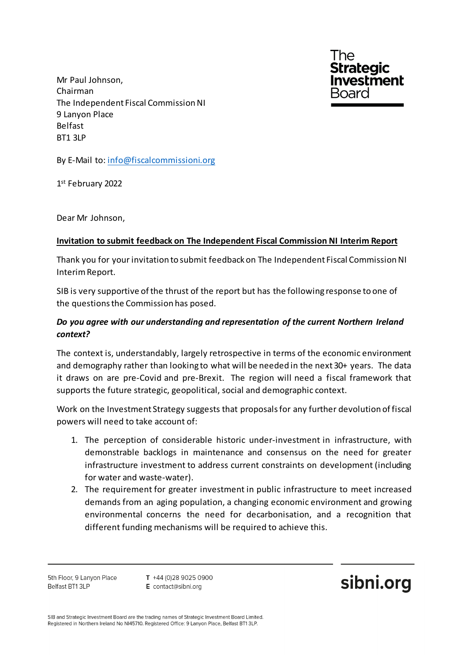The **Strategic ivestment** Board

Mr Paul Johnson, Chairman The Independent Fiscal Commission NI 9 Lanyon Place Belfast BT1 3LP

By E-Mail to[: info@fiscalcommissioni.org](mailto:info@fiscalcommissioni.org)

1st February 2022

Dear Mr Johnson,

## **Invitation to submit feedback on The Independent Fiscal Commission NI Interim Report**

Thank you for your invitation to submit feedback on The Independent Fiscal Commission NI Interim Report.

SIB is very supportive of the thrust of the report but has the following response to one of the questions the Commission has posed.

## *Do you agree with our understanding and representation of the current Northern Ireland context?*

The context is, understandably, largely retrospective in terms of the economic environment and demography rather than looking to what will be needed in the next 30+ years. The data it draws on are pre-Covid and pre-Brexit. The region will need a fiscal framework that supports the future strategic, geopolitical, social and demographic context.

Work on the Investment Strategy suggests that proposals for any further devolution of fiscal powers will need to take account of:

- 1. The perception of considerable historic under-investment in infrastructure, with demonstrable backlogs in maintenance and consensus on the need for greater infrastructure investment to address current constraints on development (including for water and waste-water).
- 2. The requirement for greater investment in public infrastructure to meet increased demands from an aging population, a changing economic environment and growing environmental concerns the need for decarbonisation, and a recognition that different funding mechanisms will be required to achieve this.

5th Floor, 9 Lanyon Place Belfast BT1 3LP

 $T + 44(0)2890250900$ E contact@sibni.org

sibni.org

SIB and Strategic Investment Board are the trading names of Strategic Investment Board Limited. Registered in Northern Ireland No NI45710. Registered Office: 9 Lanyon Place, Belfast BT1 3LP.